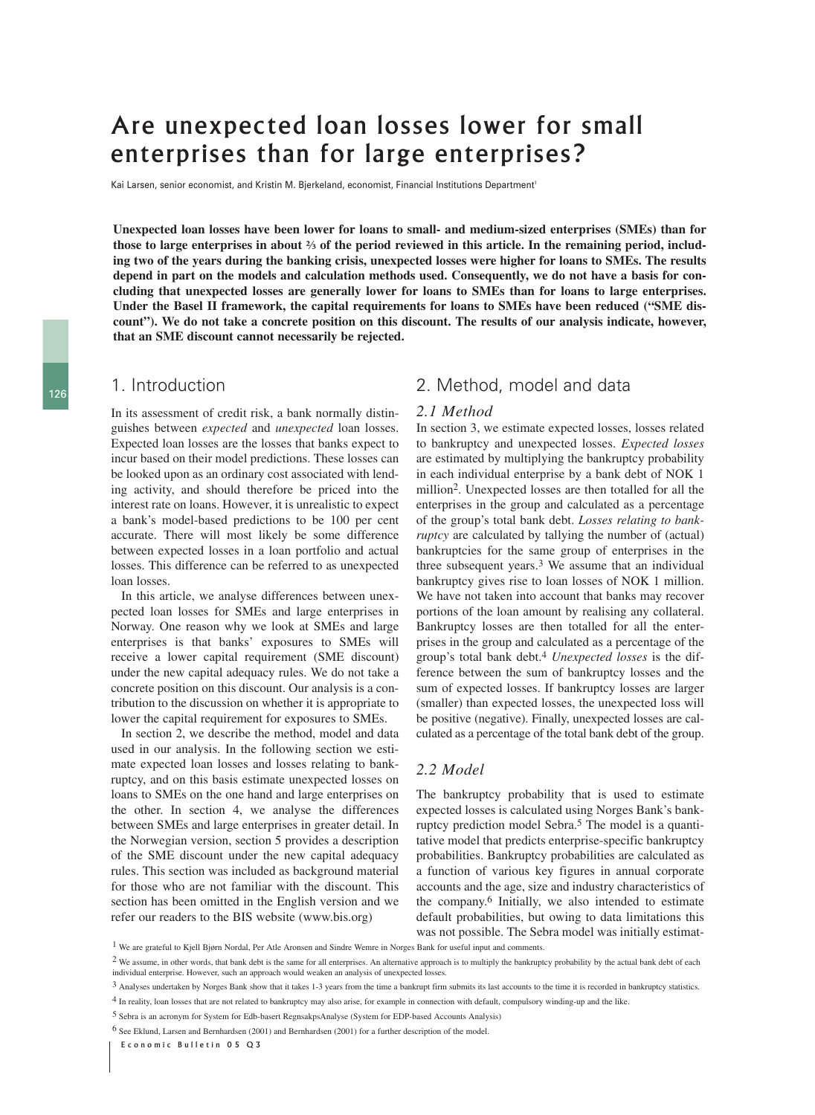# Are unexpected loan losses lower for small enterprises than for large enterprises?

Kai Larsen, senior economist, and Kristin M. Bierkeland, economist, Financial Institutions Department<sup>1</sup>

**Unexpected loan losses have been lower for loans to small- and medium-sized enterprises (SMEs) than for those to large enterprises in about ⅔ of the period reviewed in this article. In the remaining period, including two of the years during the banking crisis, unexpected losses were higher for loans to SMEs. The results depend in part on the models and calculation methods used. Consequently, we do not have a basis for concluding that unexpected losses are generally lower for loans to SMEs than for loans to large enterprises. Under the Basel II framework, the capital requirements for loans to SMEs have been reduced ("SME discount"). We do not take a concrete position on this discount. The results of our analysis indicate, however, that an SME discount cannot necessarily be rejected.** 

## 1. Introduction

In its assessment of credit risk, a bank normally distinguishes between *expected* and *unexpected* loan losses. Expected loan losses are the losses that banks expect to incur based on their model predictions. These losses can be looked upon as an ordinary cost associated with lending activity, and should therefore be priced into the interest rate on loans. However, it is unrealistic to expect a bank's model-based predictions to be 100 per cent accurate. There will most likely be some difference between expected losses in a loan portfolio and actual losses. This difference can be referred to as unexpected loan losses.

In this article, we analyse differences between unexpected loan losses for SMEs and large enterprises in Norway. One reason why we look at SMEs and large enterprises is that banks' exposures to SMEs will receive a lower capital requirement (SME discount) under the new capital adequacy rules. We do not take a concrete position on this discount. Our analysis is a contribution to the discussion on whether it is appropriate to lower the capital requirement for exposures to SMEs.

In section 2, we describe the method, model and data used in our analysis. In the following section we estimate expected loan losses and losses relating to bankruptcy, and on this basis estimate unexpected losses on loans to SMEs on the one hand and large enterprises on the other. In section 4, we analyse the differences between SMEs and large enterprises in greater detail. In the Norwegian version, section 5 provides a description of the SME discount under the new capital adequacy rules. This section was included as background material for those who are not familiar with the discount. This section has been omitted in the English version and we refer our readers to the BIS website (www.bis.org)

## 2. Method, model and data

#### *2.1 Method*

In section 3, we estimate expected losses, losses related to bankruptcy and unexpected losses. *Expected losses* are estimated by multiplying the bankruptcy probability in each individual enterprise by a bank debt of NOK 1 million2. Unexpected losses are then totalled for all the enterprises in the group and calculated as a percentage of the group's total bank debt. *Losses relating to bankruptcy* are calculated by tallying the number of (actual) bankruptcies for the same group of enterprises in the three subsequent years.3 We assume that an individual bankruptcy gives rise to loan losses of NOK 1 million. We have not taken into account that banks may recover portions of the loan amount by realising any collateral. Bankruptcy losses are then totalled for all the enterprises in the group and calculated as a percentage of the group's total bank debt.4 *Unexpected losses* is the difference between the sum of bankruptcy losses and the sum of expected losses. If bankruptcy losses are larger (smaller) than expected losses, the unexpected loss will be positive (negative). Finally, unexpected losses are calculated as a percentage of the total bank debt of the group.

#### *2.2 Model*

The bankruptcy probability that is used to estimate expected losses is calculated using Norges Bank's bankruptcy prediction model Sebra.5 The model is a quantitative model that predicts enterprise-specific bankruptcy probabilities. Bankruptcy probabilities are calculated as a function of various key figures in annual corporate accounts and the age, size and industry characteristics of the company.6 Initially, we also intended to estimate default probabilities, but owing to data limitations this was not possible. The Sebra model was initially estimat-

<sup>1</sup> We are grateful to Kjell Bjørn Nordal, Per Atle Aronsen and Sindre Wemre in Norges Bank for useful input and comments.

<sup>&</sup>lt;sup>2</sup> We assume, in other words, that bank debt is the same for all enterprises. An alternative approach is to multiply the bankruptcy probability by the actual bank debt of each individual enterprise. However, such an approach would weaken an analysis of unexpected losses.

<sup>3</sup> Analyses undertaken by Norges Bank show that it takes 1-3 years from the time a bankrupt firm submits its last accounts to the time it is recorded in bankruptcy statistics.

<sup>4</sup> In reality, loan losses that are not related to bankruptcy may also arise, for example in connection with default, compulsory winding-up and the like.

<sup>5</sup> Sebra is an acronym for System for Edb-basert RegnsakpsAnalyse (System for EDP-based Accounts Analysis)

<sup>6</sup> See Eklund, Larsen and Bernhardsen (2001) and Bernhardsen (2001) for a further description of the model.

Economic Bulletin 05 Q3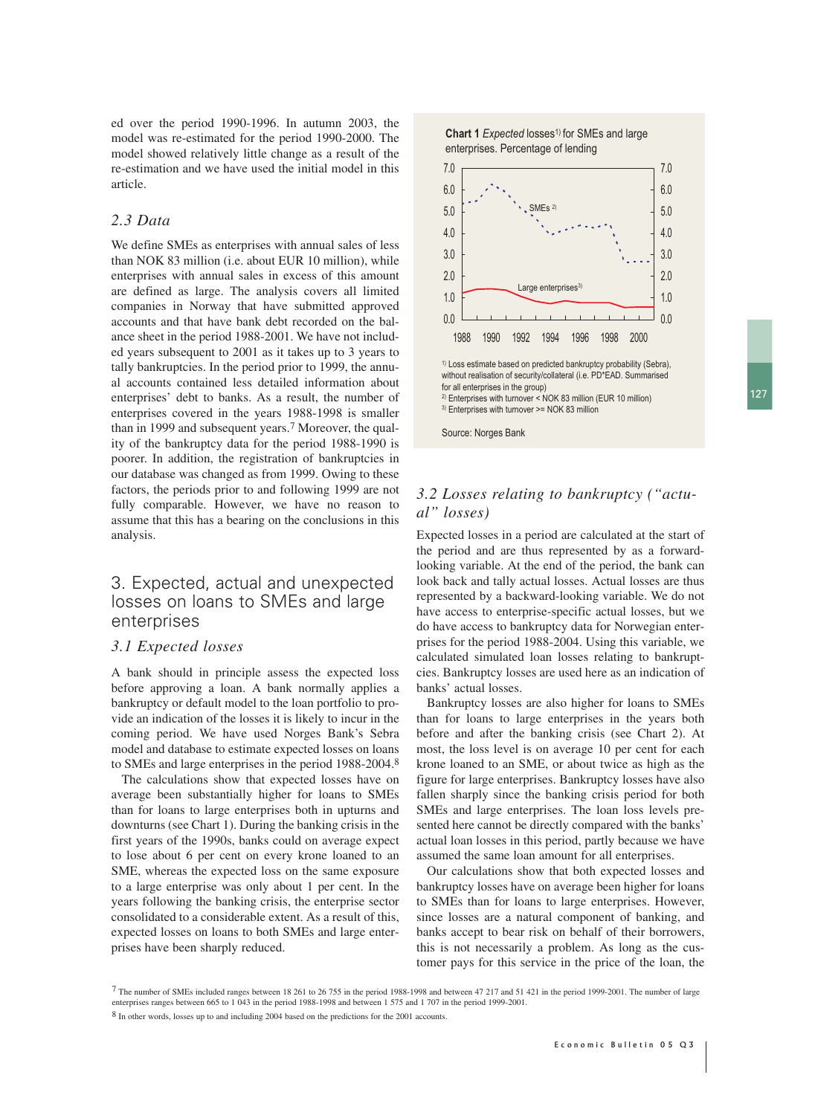ed over the period 1990-1996. In autumn 2003, the model was re-estimated for the period 1990-2000. The model showed relatively little change as a result of the re-estimation and we have used the initial model in this article.

#### *2.3 Data*

We define SMEs as enterprises with annual sales of less than NOK 83 million (i.e. about EUR 10 million), while enterprises with annual sales in excess of this amount are defined as large. The analysis covers all limited companies in Norway that have submitted approved accounts and that have bank debt recorded on the balance sheet in the period 1988-2001. We have not included years subsequent to 2001 as it takes up to 3 years to tally bankruptcies. In the period prior to 1999, the annual accounts contained less detailed information about enterprises' debt to banks. As a result, the number of enterprises covered in the years 1988-1998 is smaller than in 1999 and subsequent years.7 Moreover, the quality of the bankruptcy data for the period 1988-1990 is poorer. In addition, the registration of bankruptcies in our database was changed as from 1999. Owing to these factors, the periods prior to and following 1999 are not fully comparable. However, we have no reason to assume that this has a bearing on the conclusions in this analysis.

## 3. Expected, actual and unexpected losses on loans to SMEs and large enterprises

#### *3.1 Expected losses*

A bank should in principle assess the expected loss before approving a loan. A bank normally applies a bankruptcy or default model to the loan portfolio to provide an indication of the losses it is likely to incur in the coming period. We have used Norges Bank's Sebra model and database to estimate expected losses on loans to SMEs and large enterprises in the period 1988-2004.8

The calculations show that expected losses have on average been substantially higher for loans to SMEs than for loans to large enterprises both in upturns and downturns (see Chart 1). During the banking crisis in the first years of the 1990s, banks could on average expect to lose about 6 per cent on every krone loaned to an SME, whereas the expected loss on the same exposure to a large enterprise was only about 1 per cent. In the years following the banking crisis, the enterprise sector consolidated to a considerable extent. As a result of this, expected losses on loans to both SMEs and large enterprises have been sharply reduced.





### *3.2 Losses relating to bankruptcy ("actual" losses)*

Expected losses in a period are calculated at the start of the period and are thus represented by as a forwardlooking variable. At the end of the period, the bank can look back and tally actual losses. Actual losses are thus represented by a backward-looking variable. We do not have access to enterprise-specific actual losses, but we do have access to bankruptcy data for Norwegian enterprises for the period 1988-2004. Using this variable, we calculated simulated loan losses relating to bankruptcies. Bankruptcy losses are used here as an indication of banks' actual losses.

Bankruptcy losses are also higher for loans to SMEs than for loans to large enterprises in the years both before and after the banking crisis (see Chart 2). At most, the loss level is on average 10 per cent for each krone loaned to an SME, or about twice as high as the figure for large enterprises. Bankruptcy losses have also fallen sharply since the banking crisis period for both SMEs and large enterprises. The loan loss levels presented here cannot be directly compared with the banks' actual loan losses in this period, partly because we have assumed the same loan amount for all enterprises.

Our calculations show that both expected losses and bankruptcy losses have on average been higher for loans to SMEs than for loans to large enterprises. However, since losses are a natural component of banking, and banks accept to bear risk on behalf of their borrowers, this is not necessarily a problem. As long as the customer pays for this service in the price of the loan, the

<sup>7</sup> The number of SMEs included ranges between 18 261 to 26 755 in the period 1988-1998 and between 47 217 and 51 421 in the period 1999-2001. The number of large enterprises ranges between 665 to 1 043 in the period 1988-1998 and between 1 575 and 1 707 in the period 1999-2001.

<sup>8</sup> In other words, losses up to and including 2004 based on the predictions for the 2001 accounts.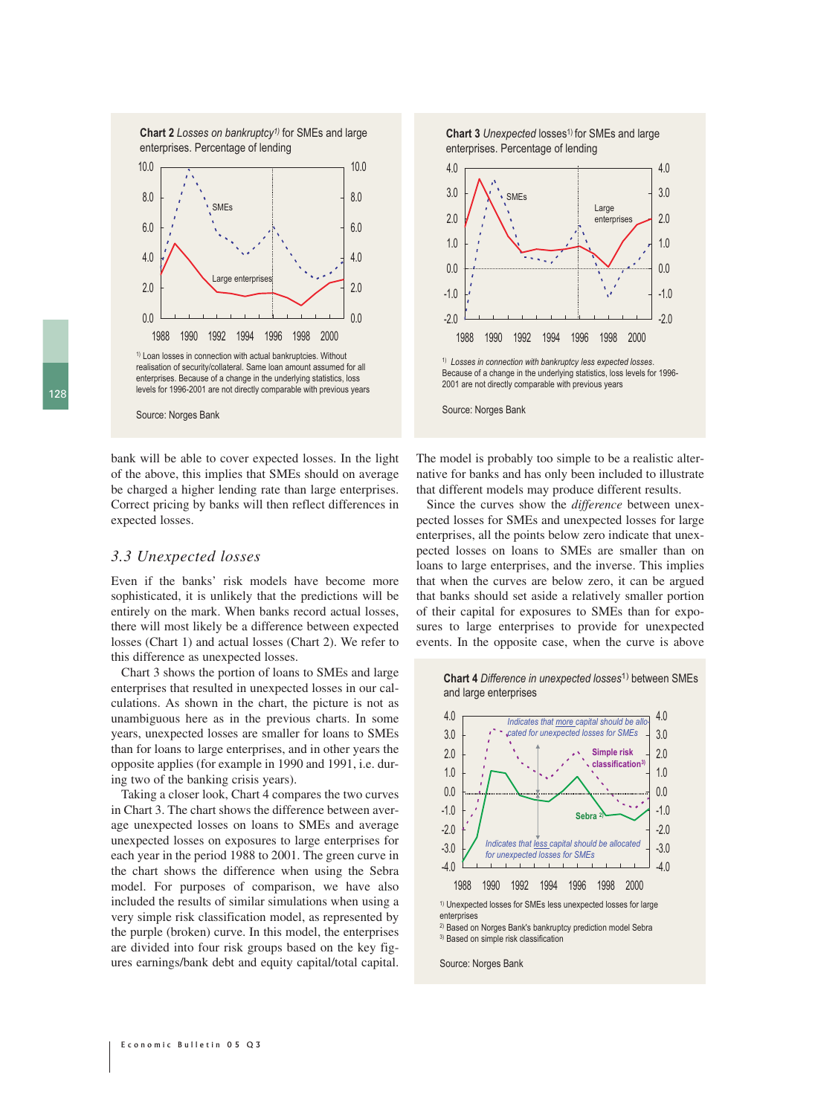**Chart 2** *Losses on bankruptcy1)* for SMEs and large enterprises. Percentage of lending



<sup>1)</sup> Loan losses in connection with actual bankruptcies. Without realisation of security/collateral. Same loan amount assumed for all enterprises. Because of a change in the underlying statistics, loss levels for 1996-2001 are not directly comparable with previous years



bank will be able to cover expected losses. In the light of the above, this implies that SMEs should on average be charged a higher lending rate than large enterprises. Correct pricing by banks will then reflect differences in expected losses.

#### *3.3 Unexpected losses*

Even if the banks' risk models have become more sophisticated, it is unlikely that the predictions will be entirely on the mark. When banks record actual losses, there will most likely be a difference between expected losses (Chart 1) and actual losses (Chart 2). We refer to this difference as unexpected losses.

Chart 3 shows the portion of loans to SMEs and large enterprises that resulted in unexpected losses in our calculations. As shown in the chart, the picture is not as unambiguous here as in the previous charts. In some years, unexpected losses are smaller for loans to SMEs than for loans to large enterprises, and in other years the opposite applies (for example in 1990 and 1991, i.e. during two of the banking crisis years).

Taking a closer look, Chart 4 compares the two curves in Chart 3. The chart shows the difference between average unexpected losses on loans to SMEs and average unexpected losses on exposures to large enterprises for each year in the period 1988 to 2001. The green curve in the chart shows the difference when using the Sebra model. For purposes of comparison, we have also included the results of similar simulations when using a very simple risk classification model, as represented by the purple (broken) curve. In this model, the enterprises are divided into four risk groups based on the key figures earnings/bank debt and equity capital/total capital.





The model is probably too simple to be a realistic alternative for banks and has only been included to illustrate that different models may produce different results.

Since the curves show the *difference* between unexpected losses for SMEs and unexpected losses for large enterprises, all the points below zero indicate that unexpected losses on loans to SMEs are smaller than on loans to large enterprises, and the inverse. This implies that when the curves are below zero, it can be argued that banks should set aside a relatively smaller portion of their capital for exposures to SMEs than for exposures to large enterprises to provide for unexpected events. In the opposite case, when the curve is above





enterprises

2) Based on Norges Bank's bankruptcy prediction model Sebra 3) Based on simple risk classification

Source: Norges Bank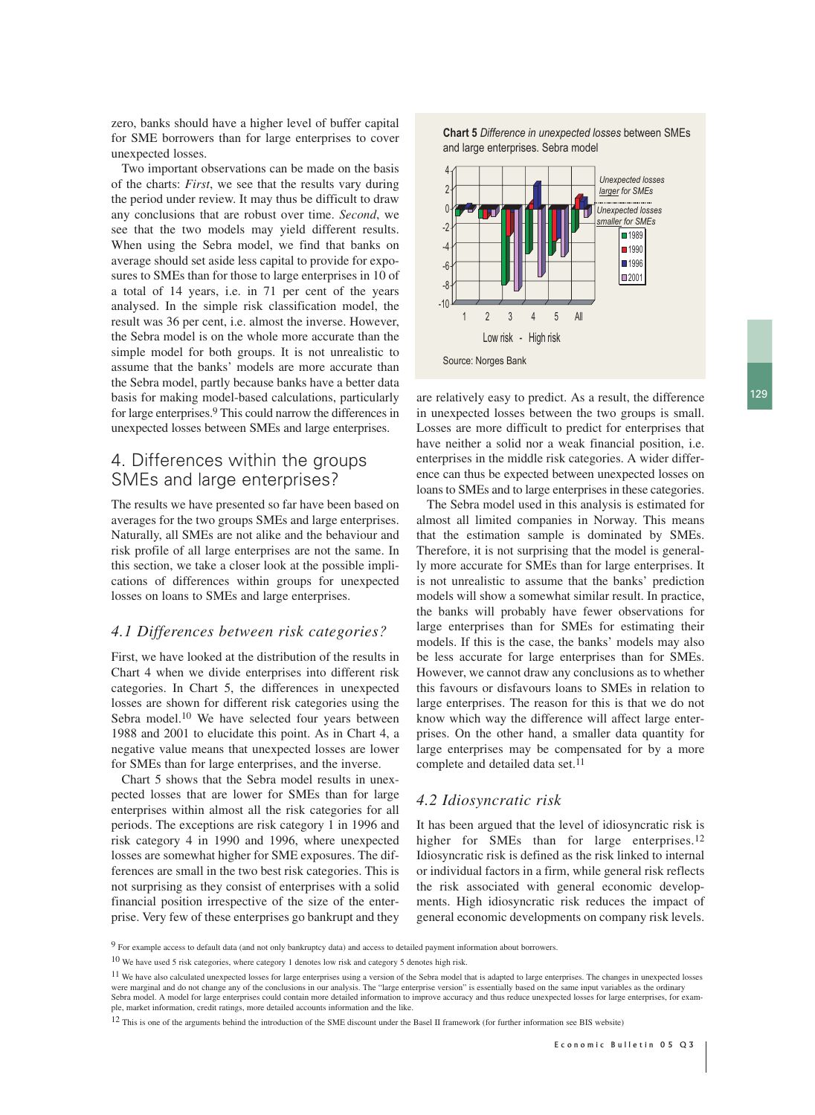zero, banks should have a higher level of buffer capital for SME borrowers than for large enterprises to cover unexpected losses.

Two important observations can be made on the basis of the charts: *First*, we see that the results vary during the period under review. It may thus be difficult to draw any conclusions that are robust over time. *Second*, we see that the two models may yield different results. When using the Sebra model, we find that banks on average should set aside less capital to provide for exposures to SMEs than for those to large enterprises in 10 of a total of 14 years, i.e. in 71 per cent of the years analysed. In the simple risk classification model, the result was 36 per cent, i.e. almost the inverse. However, the Sebra model is on the whole more accurate than the simple model for both groups. It is not unrealistic to assume that the banks' models are more accurate than the Sebra model, partly because banks have a better data basis for making model-based calculations, particularly for large enterprises.9 This could narrow the differences in unexpected losses between SMEs and large enterprises.

# 4. Differences within the groups SMEs and large enterprises?

The results we have presented so far have been based on averages for the two groups SMEs and large enterprises. Naturally, all SMEs are not alike and the behaviour and risk profile of all large enterprises are not the same. In this section, we take a closer look at the possible implications of differences within groups for unexpected losses on loans to SMEs and large enterprises.

#### *4.1 Differences between risk categories?*

First, we have looked at the distribution of the results in Chart 4 when we divide enterprises into different risk categories. In Chart 5, the differences in unexpected losses are shown for different risk categories using the Sebra model.<sup>10</sup> We have selected four years between 1988 and 2001 to elucidate this point. As in Chart 4, a negative value means that unexpected losses are lower for SMEs than for large enterprises, and the inverse.

Chart 5 shows that the Sebra model results in unexpected losses that are lower for SMEs than for large enterprises within almost all the risk categories for all periods. The exceptions are risk category 1 in 1996 and risk category 4 in 1990 and 1996, where unexpected losses are somewhat higher for SME exposures. The differences are small in the two best risk categories. This is not surprising as they consist of enterprises with a solid financial position irrespective of the size of the enterprise. Very few of these enterprises go bankrupt and they





are relatively easy to predict. As a result, the difference in unexpected losses between the two groups is small. Losses are more difficult to predict for enterprises that have neither a solid nor a weak financial position, i.e. enterprises in the middle risk categories. A wider difference can thus be expected between unexpected losses on loans to SMEs and to large enterprises in these categories.

The Sebra model used in this analysis is estimated for almost all limited companies in Norway. This means that the estimation sample is dominated by SMEs. Therefore, it is not surprising that the model is generally more accurate for SMEs than for large enterprises. It is not unrealistic to assume that the banks' prediction models will show a somewhat similar result. In practice, the banks will probably have fewer observations for large enterprises than for SMEs for estimating their models. If this is the case, the banks' models may also be less accurate for large enterprises than for SMEs. However, we cannot draw any conclusions as to whether this favours or disfavours loans to SMEs in relation to large enterprises. The reason for this is that we do not know which way the difference will affect large enterprises. On the other hand, a smaller data quantity for large enterprises may be compensated for by a more complete and detailed data set.<sup>11</sup>

#### *4.2 Idiosyncratic risk*

It has been argued that the level of idiosyncratic risk is higher for SMEs than for large enterprises.<sup>12</sup> Idiosyncratic risk is defined as the risk linked to internal or individual factors in a firm, while general risk reflects the risk associated with general economic developments. High idiosyncratic risk reduces the impact of general economic developments on company risk levels.

<sup>9</sup> For example access to default data (and not only bankruptcy data) and access to detailed payment information about borrowers.

<sup>10</sup> We have used 5 risk categories, where category 1 denotes low risk and category 5 denotes high risk.

<sup>&</sup>lt;sup>11</sup> We have also calculated unexpected losses for large enterprises using a version of the Sebra model that is adapted to large enterprises. The changes in unexpected losses were marginal and do not change any of the conclusions in our analysis. The "large enterprise version" is essentially based on the same input variables as the ordinary Sebra model. A model for large enterprises could contain more detailed information to improve accuracy and thus reduce unexpected losses for large enterprises, for example, market information, credit ratings, more detailed accounts information and the like.

<sup>12</sup> This is one of the arguments behind the introduction of the SME discount under the Basel II framework (for further information see BIS website)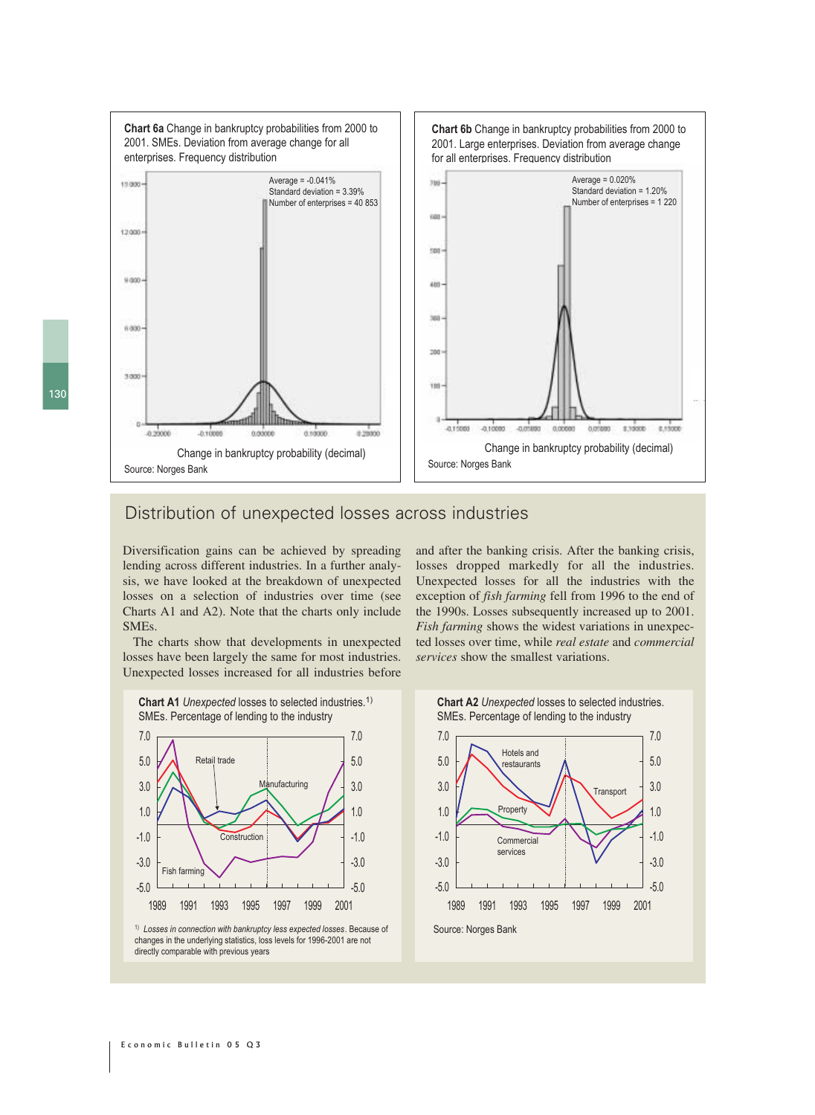**Chart 6a** Change in bankruptcy probabilities from 2000 to **Chart 6b** Change in bankruptcy probabilities from 2000 to 2001. SMEs. Deviation from average change for all 2001. Large enterprises. Deviation from average change enterprises. Frequency distribution for all enterprises. Frequency distribution Average = -0.041% Average = 0.020% 11000 yas. Standard deviation = 1.20% Standard deviation = 3.39% Number of enterprises = 1 220Number of enterprises = 40 853 ian. 12000 spo $u$  and  $400$ **Sec** 6,000 bód 3000 ita a viceo -0.15000 -0.10000 a more 0.00000 0.01000 130000  $0.2000$ 0.1000 noone  $0.10000$  $a$  shows Change in bankruptcy probability (decimal) Change in bankruptcy probability (decimal) Source: Norges Bank Source: Norges Bank

# Distribution of unexpected losses across industries

Diversification gains can be achieved by spreading lending across different industries. In a further analysis, we have looked at the breakdown of unexpected losses on a selection of industries over time (see Charts A1 and A2). Note that the charts only include SMEs.

The charts show that developments in unexpected losses have been largely the same for most industries. Unexpected losses increased for all industries before and after the banking crisis. After the banking crisis, losses dropped markedly for all the industries. Unexpected losses for all the industries with the exception of *fish farming* fell from 1996 to the end of the 1990s. Losses subsequently increased up to 2001. *Fish farming* shows the widest variations in unexpected losses over time, while *real estate* and *commercial services* show the smallest variations.



1) *Losses in connection with bankruptcy less expected losses*. Because of changes in the underlying statistics, loss levels for 1996-2001 are not directly comparable with previous years

**Chart A2** *Unexpected* losses to selected industries. SMEs. Percentage of lending to the industry

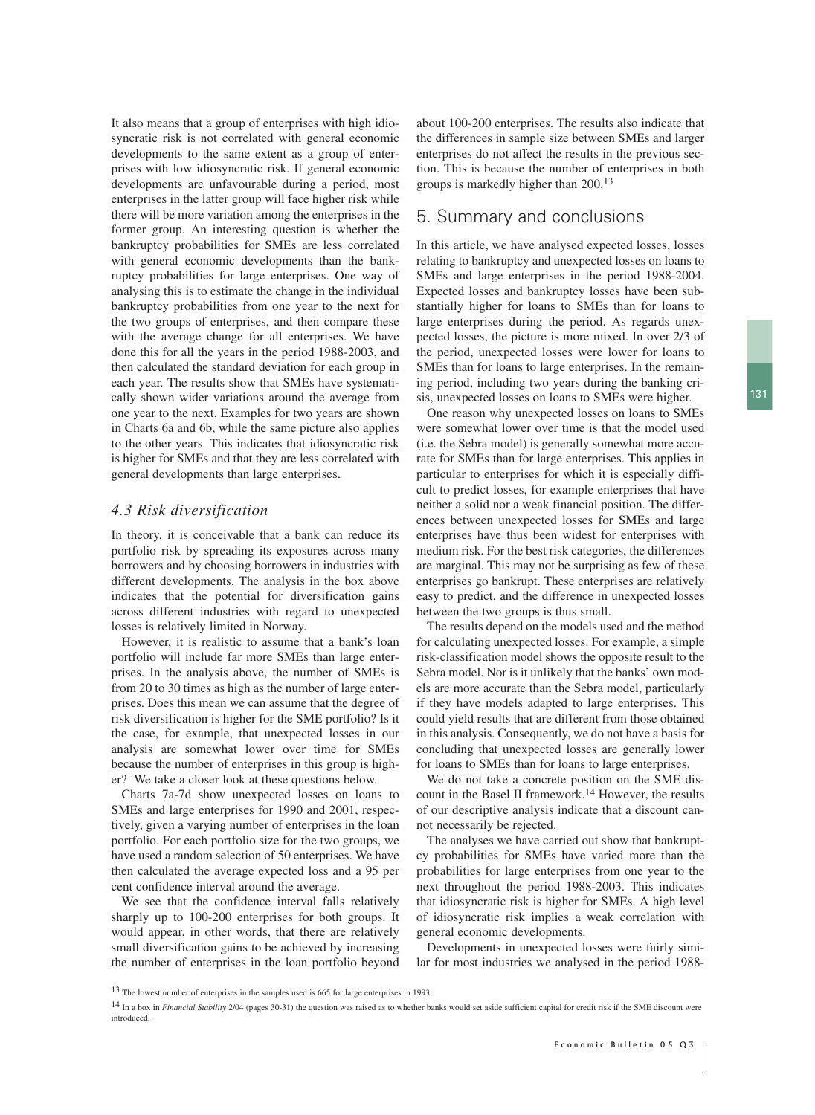It also means that a group of enterprises with high idiosyncratic risk is not correlated with general economic developments to the same extent as a group of enterprises with low idiosyncratic risk. If general economic developments are unfavourable during a period, most enterprises in the latter group will face higher risk while there will be more variation among the enterprises in the former group. An interesting question is whether the bankruptcy probabilities for SMEs are less correlated with general economic developments than the bankruptcy probabilities for large enterprises. One way of analysing this is to estimate the change in the individual bankruptcy probabilities from one year to the next for the two groups of enterprises, and then compare these with the average change for all enterprises. We have done this for all the years in the period 1988-2003, and then calculated the standard deviation for each group in each year. The results show that SMEs have systematically shown wider variations around the average from one year to the next. Examples for two years are shown in Charts 6a and 6b, while the same picture also applies to the other years. This indicates that idiosyncratic risk is higher for SMEs and that they are less correlated with general developments than large enterprises.

#### *4.3 Risk diversification*

In theory, it is conceivable that a bank can reduce its portfolio risk by spreading its exposures across many borrowers and by choosing borrowers in industries with different developments. The analysis in the box above indicates that the potential for diversification gains across different industries with regard to unexpected losses is relatively limited in Norway.

However, it is realistic to assume that a bank's loan portfolio will include far more SMEs than large enterprises. In the analysis above, the number of SMEs is from 20 to 30 times as high as the number of large enterprises. Does this mean we can assume that the degree of risk diversification is higher for the SME portfolio? Is it the case, for example, that unexpected losses in our analysis are somewhat lower over time for SMEs because the number of enterprises in this group is higher? We take a closer look at these questions below.

Charts 7a-7d show unexpected losses on loans to SMEs and large enterprises for 1990 and 2001, respectively, given a varying number of enterprises in the loan portfolio. For each portfolio size for the two groups, we have used a random selection of 50 enterprises. We have then calculated the average expected loss and a 95 per cent confidence interval around the average.

We see that the confidence interval falls relatively sharply up to 100-200 enterprises for both groups. It would appear, in other words, that there are relatively small diversification gains to be achieved by increasing the number of enterprises in the loan portfolio beyond about 100-200 enterprises. The results also indicate that the differences in sample size between SMEs and larger enterprises do not affect the results in the previous section. This is because the number of enterprises in both groups is markedly higher than 200.13

#### 5. Summary and conclusions

In this article, we have analysed expected losses, losses relating to bankruptcy and unexpected losses on loans to SMEs and large enterprises in the period 1988-2004. Expected losses and bankruptcy losses have been substantially higher for loans to SMEs than for loans to large enterprises during the period. As regards unexpected losses, the picture is more mixed. In over 2/3 of the period, unexpected losses were lower for loans to SMEs than for loans to large enterprises. In the remaining period, including two years during the banking crisis, unexpected losses on loans to SMEs were higher.

One reason why unexpected losses on loans to SMEs were somewhat lower over time is that the model used (i.e. the Sebra model) is generally somewhat more accurate for SMEs than for large enterprises. This applies in particular to enterprises for which it is especially difficult to predict losses, for example enterprises that have neither a solid nor a weak financial position. The differences between unexpected losses for SMEs and large enterprises have thus been widest for enterprises with medium risk. For the best risk categories, the differences are marginal. This may not be surprising as few of these enterprises go bankrupt. These enterprises are relatively easy to predict, and the difference in unexpected losses between the two groups is thus small.

The results depend on the models used and the method for calculating unexpected losses. For example, a simple risk-classification model shows the opposite result to the Sebra model. Nor is it unlikely that the banks' own models are more accurate than the Sebra model, particularly if they have models adapted to large enterprises. This could yield results that are different from those obtained in this analysis. Consequently, we do not have a basis for concluding that unexpected losses are generally lower for loans to SMEs than for loans to large enterprises.

We do not take a concrete position on the SME discount in the Basel II framework.14 However, the results of our descriptive analysis indicate that a discount cannot necessarily be rejected.

The analyses we have carried out show that bankruptcy probabilities for SMEs have varied more than the probabilities for large enterprises from one year to the next throughout the period 1988-2003. This indicates that idiosyncratic risk is higher for SMEs. A high level of idiosyncratic risk implies a weak correlation with general economic developments.

Developments in unexpected losses were fairly similar for most industries we analysed in the period 1988-

<sup>13</sup> The lowest number of enterprises in the samples used is 665 for large enterprises in 1993.

<sup>14</sup> In a box in *Financial Stability* 2/04 (pages 30-31) the question was raised as to whether banks would set aside sufficient capital for credit risk if the SME discount were **introduced**